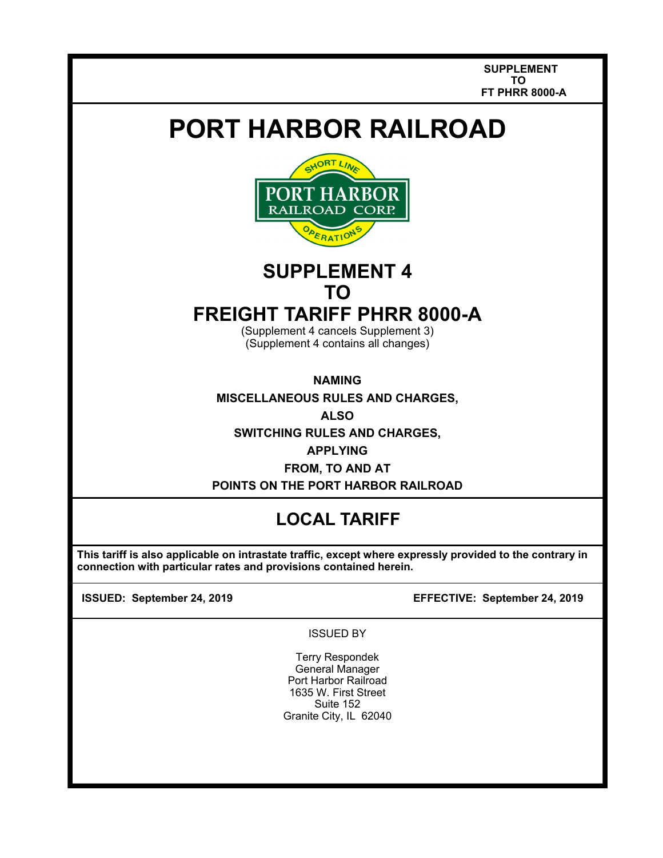**SUPPLEMENT TO FT PHRR 8000-A** 

# **PORT HARBOR RAILROAD**



# **SUPPLEMENT 4 TO**

## **FREIGHT TARIFF PHRR 8000-A**

(Supplement 4 cancels Supplement 3) (Supplement 4 contains all changes)

**NAMING** 

**MISCELLANEOUS RULES AND CHARGES,** 

**ALSO** 

**SWITCHING RULES AND CHARGES,** 

**APPLYING**

**FROM, TO AND AT POINTS ON THE PORT HARBOR RAILROAD** 

### **LOCAL TARIFF**

 **This tariff is also applicable on intrastate traffic, except where expressly provided to the contrary in connection with particular rates and provisions contained herein.** 

 $\overline{\phantom{a}}$  $\overline{\phantom{a}}$ 

**ISSUED: September 24, 2019 EFFECTIVE: September 24, 2019**

ISSUED BY

Terry Respondek General Manager Port Harbor Railroad 1635 W. First Street Suite 152 Granite City, IL 62040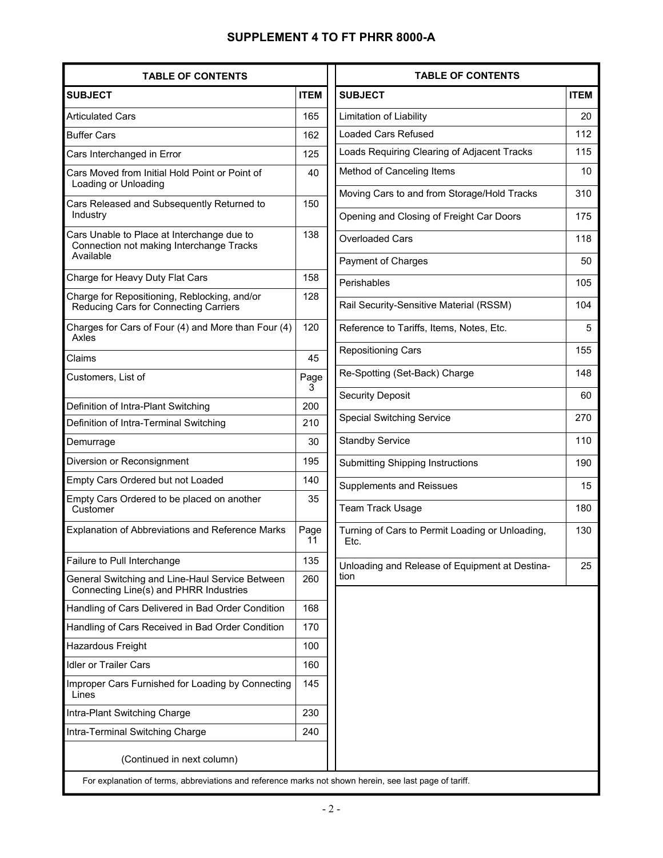### **SUPPLEMENT 4 TO FT PHRR 8000-A**

| <b>SUBJECT</b><br><b>Articulated Cars</b><br><b>Buffer Cars</b>                                     | <b>ITEM</b> |
|-----------------------------------------------------------------------------------------------------|-------------|
|                                                                                                     |             |
|                                                                                                     | 165         |
|                                                                                                     | 162         |
| Cars Interchanged in Error                                                                          | 125         |
| Cars Moved from Initial Hold Point or Point of<br>Loading or Unloading                              | 40          |
| Cars Released and Subsequently Returned to<br>Industry                                              | 150         |
| Cars Unable to Place at Interchange due to<br>Connection not making Interchange Tracks<br>Available | 138         |
| Charge for Heavy Duty Flat Cars                                                                     | 158         |
| Charge for Repositioning, Reblocking, and/or<br>Reducing Cars for Connecting Carriers               | 128         |
| Charges for Cars of Four (4) and More than Four (4)<br>Axles                                        | 120         |
| Claims                                                                                              | 45          |
| Customers, List of                                                                                  | Page<br>3   |
| Definition of Intra-Plant Switching                                                                 | 200         |
| Definition of Intra-Terminal Switching                                                              | 210         |
| Demurrage                                                                                           | 30          |
| Diversion or Reconsignment                                                                          | 195         |
| Empty Cars Ordered but not Loaded                                                                   | 140         |
| Empty Cars Ordered to be placed on another<br>Customer                                              | 35          |
| Explanation of Abbreviations and Reference Marks                                                    | Page<br>11  |
| Failure to Pull Interchange                                                                         | 135         |
| General Switching and Line-Haul Service Between<br>Connecting Line(s) and PHRR Industries           | 260         |
| Handling of Cars Delivered in Bad Order Condition                                                   | 168         |
| Handling of Cars Received in Bad Order Condition                                                    | 170         |
| Hazardous Freight                                                                                   | 100         |
| <b>Idler or Trailer Cars</b>                                                                        | 160         |
| Improper Cars Furnished for Loading by Connecting<br>Lines                                          | 145         |
| Intra-Plant Switching Charge                                                                        | 230         |
| Intra-Terminal Switching Charge                                                                     | 240         |
| (Continued in next column)                                                                          |             |

| <b>TABLE OF CONTENTS</b>                                |             |  |  |
|---------------------------------------------------------|-------------|--|--|
| <b>SUBJECT</b>                                          | <b>ITEM</b> |  |  |
| Limitation of Liability                                 | 20          |  |  |
| <b>Loaded Cars Refused</b>                              | 112         |  |  |
| Loads Requiring Clearing of Adjacent Tracks             | 115         |  |  |
| Method of Canceling Items                               | 10          |  |  |
| Moving Cars to and from Storage/Hold Tracks             | 310         |  |  |
| Opening and Closing of Freight Car Doors                | 175         |  |  |
| <b>Overloaded Cars</b>                                  | 118         |  |  |
| Payment of Charges                                      | 50          |  |  |
| Perishables                                             | 105         |  |  |
| Rail Security-Sensitive Material (RSSM)                 | 104         |  |  |
| Reference to Tariffs, Items, Notes, Etc.                | 5           |  |  |
| <b>Repositioning Cars</b>                               | 155         |  |  |
| Re-Spotting (Set-Back) Charge                           | 148         |  |  |
| <b>Security Deposit</b>                                 | 60          |  |  |
| <b>Special Switching Service</b>                        | 270         |  |  |
| <b>Standby Service</b>                                  | 110         |  |  |
| <b>Submitting Shipping Instructions</b>                 | 190         |  |  |
| <b>Supplements and Reissues</b>                         | 15          |  |  |
| Team Track Usage                                        | 180         |  |  |
| Turning of Cars to Permit Loading or Unloading,<br>Etc. | 130         |  |  |
| Unloading and Release of Equipment at Destina-<br>tion  | 25          |  |  |
|                                                         |             |  |  |

For explanation of terms, abbreviations and reference marks not shown herein, see last page of tariff.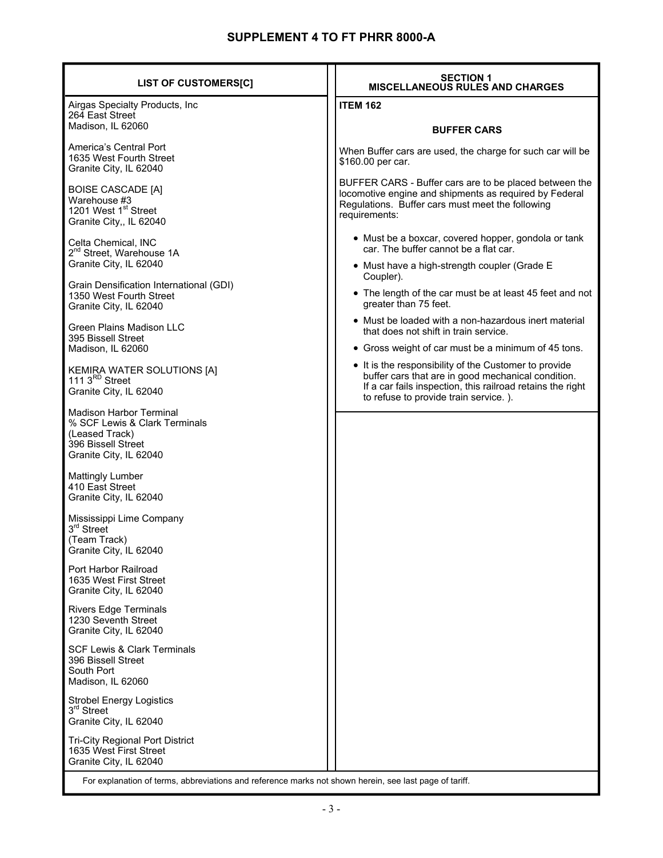| <b>LIST OF CUSTOMERS[C]</b>                                                                                                       | <b>SECTION 1</b><br><b>MISCELLANEOUS RULES AND CHARGES</b>                                                                                                                                                         |  |  |
|-----------------------------------------------------------------------------------------------------------------------------------|--------------------------------------------------------------------------------------------------------------------------------------------------------------------------------------------------------------------|--|--|
| Airgas Specialty Products, Inc<br>264 East Street                                                                                 | <b>ITEM 162</b>                                                                                                                                                                                                    |  |  |
| Madison, IL 62060                                                                                                                 | <b>BUFFER CARS</b>                                                                                                                                                                                                 |  |  |
| America's Central Port<br>1635 West Fourth Street<br>Granite City, IL 62040                                                       | When Buffer cars are used, the charge for such car will be<br>\$160.00 per car.                                                                                                                                    |  |  |
| <b>BOISE CASCADE [A]</b><br>Warehouse #3<br>1201 West 1 <sup>st</sup> Street<br>Granite City,, IL 62040                           | BUFFER CARS - Buffer cars are to be placed between the<br>locomotive engine and shipments as required by Federal<br>Regulations. Buffer cars must meet the following<br>requirements:                              |  |  |
| Celta Chemical, INC<br>2 <sup>nd</sup> Street, Warehouse 1A                                                                       | • Must be a boxcar, covered hopper, gondola or tank<br>car. The buffer cannot be a flat car.                                                                                                                       |  |  |
| Granite City, IL 62040                                                                                                            | • Must have a high-strength coupler (Grade E<br>Coupler).                                                                                                                                                          |  |  |
| Grain Densification International (GDI)<br>1350 West Fourth Street<br>Granite City, IL 62040                                      | • The length of the car must be at least 45 feet and not<br>greater than 75 feet.                                                                                                                                  |  |  |
| Green Plains Madison LLC<br>395 Bissell Street                                                                                    | • Must be loaded with a non-hazardous inert material<br>that does not shift in train service.                                                                                                                      |  |  |
| Madison, IL 62060                                                                                                                 | • Gross weight of car must be a minimum of 45 tons.                                                                                                                                                                |  |  |
| KEMIRA WATER SOLUTIONS [A]<br>111 3 <sup>RD</sup> Street<br>Granite City, IL 62040                                                | • It is the responsibility of the Customer to provide<br>buffer cars that are in good mechanical condition.<br>If a car fails inspection, this railroad retains the right<br>to refuse to provide train service.). |  |  |
| <b>Madison Harbor Terminal</b><br>% SCF Lewis & Clark Terminals<br>(Leased Track)<br>396 Bissell Street<br>Granite City, IL 62040 |                                                                                                                                                                                                                    |  |  |
| <b>Mattingly Lumber</b><br>410 East Street<br>Granite City, IL 62040                                                              |                                                                                                                                                                                                                    |  |  |
| Mississippi Lime Company<br>3 <sup>rd</sup> Street<br>(Team Track)<br>Granite City, IL 62040                                      |                                                                                                                                                                                                                    |  |  |
| Port Harbor Railroad<br>1635 West First Street<br>Granite City, IL 62040                                                          |                                                                                                                                                                                                                    |  |  |
| <b>Rivers Edge Terminals</b><br>1230 Seventh Street<br>Granite City, IL 62040                                                     |                                                                                                                                                                                                                    |  |  |
| <b>SCF Lewis &amp; Clark Terminals</b><br>396 Bissell Street<br>South Port<br>Madison, IL 62060                                   |                                                                                                                                                                                                                    |  |  |
| <b>Strobel Energy Logistics</b><br>3rd Street<br>Granite City, IL 62040                                                           |                                                                                                                                                                                                                    |  |  |
| <b>Tri-City Regional Port District</b><br>1635 West First Street<br>Granite City, IL 62040                                        |                                                                                                                                                                                                                    |  |  |
| For explanation of terms, abbreviations and reference marks not shown herein, see last page of tariff.                            |                                                                                                                                                                                                                    |  |  |

For explanation of terms, abbreviations and reference marks not shown herein, see last page of tariff.